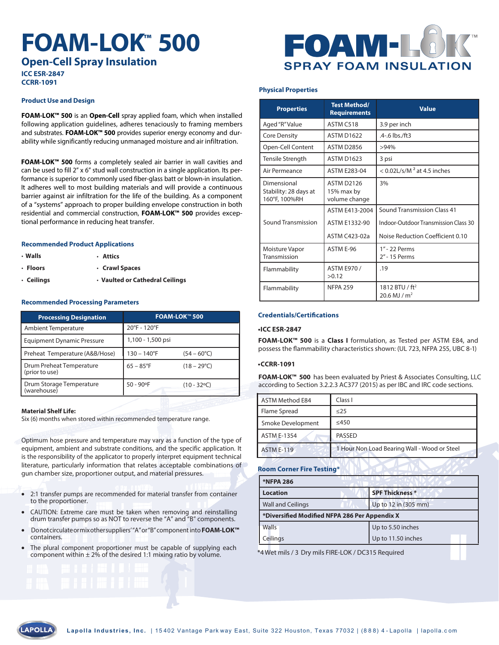# **FOAM-LOK ™ 500**

**Open-Cell Spray Insulation ICC ESR-2847**

**CCRR-1091**

#### **Product Use and Design**

**FOAM-LOK™ 500** is an **Open-Cell** spray applied foam, which when installed following application guidelines, adheres tenaciously to framing members and substrates. **FOAM-LOK™ 500** provides superior energy economy and durability while significantly reducing unmanaged moisture and air infiltration.

**FOAM-LOK™ 500** forms a completely sealed air barrier in wall cavities and can be used to fill 2" x 6" stud wall construction in a single application. Its performance is superior to commonly used fiber-glass batt or blown-in insulation. It adheres well to most building materials and will provide a continuous barrier against air infiltration for the life of the building. As a component of a "systems" approach to proper building envelope construction in both residential and commercial construction, **FOAM-LOK™ 500** provides exceptional performance in reducing heat transfer.

#### **Recommended Product Applications**

- **Walls**
- • **Floors** • **Crawl Spaces**
- • **Ceilings**  • **Vaulted or Cathedral Ceilings**

• **Attics**

#### **Recommended Processing Parameters**

| <b>Processing Designation</b>              | FOAM-LOK™ 500        |                      |
|--------------------------------------------|----------------------|----------------------|
| Ambient Temperature                        | 20°F - 120°F         |                      |
| <b>Equipment Dynamic Pressure</b>          | 1,100 - 1,500 psi    |                      |
| Preheat Temperature (A&B/Hose)             | $130 - 140^{\circ}F$ | $(54 - 60^{\circ}C)$ |
| Drum Preheat Temperature<br>(prior to use) | $65 - 85^{\circ}F$   | $(18 - 29^{\circ}C)$ |
| Drum Storage Temperature<br>(warehouse)    | $50 - 90$ °F         | $(10 - 32^{\circ}C)$ |

#### **Material Shelf Life:**

Six (6) months when stored within recommended temperature range.

Optimum hose pressure and temperature may vary as a function of the type of equipment, ambient and substrate conditions, and the specific application. It is the responsibility of the applicator to properly interpret equipment technical literature, particularly information that relates acceptable combinations of gun chamber size, proportioner output, and material pressures.

- 2:1 transfer pumps are recommended for material transfer from container to the proportioner.
- CAUTION: Extreme care must be taken when removing and reinstalling drum transfer pumps so as NOT to reverse the "A" and "B" components.
- Do not circulate or mix other suppliers' "A" or "B" component into **FOAM-LOK™**  containers.
- The plural component proportioner must be capable of supplying each component within  $\pm 2\%$  of the desired 1:1 mixing ratio by volume.

## OAW **SPRAY FOAM INSULATIO**

#### **Physical Properties**

| <b>Properties</b>                                     | <b>Test Method/</b><br><b>Requirements</b> | <b>Value</b>                                             |
|-------------------------------------------------------|--------------------------------------------|----------------------------------------------------------|
| Aged "R" Value                                        | ASTM C518                                  | 3.9 per inch                                             |
| <b>Core Density</b>                                   | <b>ASTM D1622</b>                          | .4-.6 lbs./ft3                                           |
| Open-Cell Content                                     | <b>ASTM D2856</b>                          | >94%                                                     |
| Tensile Strength                                      | <b>ASTM D1623</b>                          | 3 psi                                                    |
| Air Permeance                                         | <b>ASTM E283-04</b>                        | $<$ 0.02L/s/M <sup>2</sup> at 4.5 inches                 |
| Dimensional<br>Stability: 28 days at<br>160°F, 100%RH | ASTM D2126<br>15% max by<br>volume change  | 3%                                                       |
|                                                       | ASTM F413-2004                             | Sound Transmission Class 41                              |
| Sound Transmission                                    | ASTM E1332-90                              | Indoor-Outdoor Transmission Class 30                     |
|                                                       | <b>ASTM C423-02a</b>                       | Noise Reduction Coefficient 0.10                         |
| Moisture Vapor<br>Transmission                        | ASTM F-96                                  | 1" - 22 Perms<br>2" - 15 Perms                           |
| Flammability                                          | <b>ASTM E970 /</b><br>>0.12                | .19                                                      |
| Flammability                                          | <b>NFPA 259</b>                            | 1812 BTU / ft <sup>2</sup><br>$20.6$ MJ / m <sup>2</sup> |

#### **Credentials/Certifications**

#### **•ICC ESR-2847**

**FOAM-LOK™ 500** is a **Class I** formulation, as Tested per ASTM E84, and possess the flammability characteristics shown: (UL 723, NFPA 255, UBC 8-1)

#### **•CCRR-1091**

**FOAM-LOK™ 500** has been evaluated by Priest & Associates Consulting, LLC according to Section 3.2.2.3 AC377 (2015) as per IBC and IRC code sections.

| <b>ASTM Method E84</b> | Class I                                      |
|------------------------|----------------------------------------------|
| Flame Spread           | $\leq$ 25                                    |
| Smoke Development      | ≤450                                         |
| ASTM E-1354            | <b>PASSED</b>                                |
| <b>ASTM E-119</b>      | 1 Hour Non Load Bearing Wall - Wood or Steel |

**Room Corner Fire Testing\***

| <b>*NFPA 286</b>                              |                        |  |  |
|-----------------------------------------------|------------------------|--|--|
| <b>Location</b>                               | <b>SPF Thickness *</b> |  |  |
| <b>Wall and Ceilings</b>                      | Up to 12 in (305 mm)   |  |  |
| *Diversified Modified NFPA 286 Per Appendix X |                        |  |  |
| Walls                                         | Up to 5.50 inches      |  |  |
| Ceilings                                      | Up to 11.50 inches     |  |  |

\*4 Wet mils / 3 Dry mils FIRE-LOK / DC315 Required